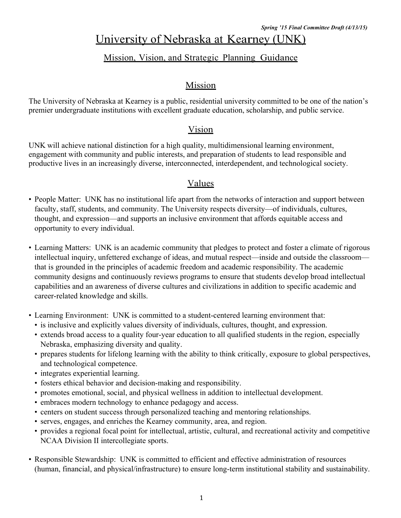# University of Nebraska at Kearney (UNK)

# Mission, Vision, and Strategic Planning Guidance

### Mission

The University of Nebraska at Kearney is a public, residential university committed to be one of the nation's premier undergraduate institutions with excellent graduate education, scholarship, and public service.

### Vision

UNK will achieve national distinction for a high quality, multidimensional learning environment, engagement with community and public interests, and preparation of students to lead responsible and productive lives in an increasingly diverse, interconnected, interdependent, and technological society.

### Values

- People Matter: UNK has no institutional life apart from the networks of interaction and support between faculty, staff, students, and community. The University respects diversity—of individuals, cultures, thought, and expression—and supports an inclusive environment that affords equitable access and opportunity to every individual.
- Learning Matters: UNK is an academic community that pledges to protect and foster a climate of rigorous intellectual inquiry, unfettered exchange of ideas, and mutual respect—inside and outside the classroom that is grounded in the principles of academic freedom and academic responsibility. The academic community designs and continuously reviews programs to ensure that students develop broad intellectual capabilities and an awareness of diverse cultures and civilizations in addition to specific academic and career-related knowledge and skills.
- Learning Environment: UNK is committed to a student-centered learning environment that:
	- is inclusive and explicitly values diversity of individuals, cultures, thought, and expression.
	- extends broad access to a quality four-year education to all qualified students in the region, especially Nebraska, emphasizing diversity and quality.
	- prepares students for lifelong learning with the ability to think critically, exposure to global perspectives, and technological competence.
	- integrates experiential learning.
	- fosters ethical behavior and decision-making and responsibility.
	- promotes emotional, social, and physical wellness in addition to intellectual development.
	- embraces modern technology to enhance pedagogy and access.
	- centers on student success through personalized teaching and mentoring relationships.
	- serves, engages, and enriches the Kearney community, area, and region.
	- provides a regional focal point for intellectual, artistic, cultural, and recreational activity and competitive NCAA Division II intercollegiate sports.
- Responsible Stewardship: UNK is committed to efficient and effective administration of resources (human, financial, and physical/infrastructure) to ensure long-term institutional stability and sustainability.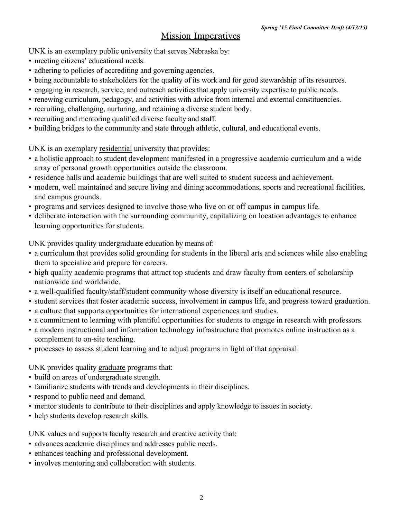### Mission Imperatives

UNK is an exemplary public university that serves Nebraska by:

- meeting citizens' educational needs.
- adhering to policies of accrediting and governing agencies.
- being accountable to stakeholders for the quality of its work and for good stewardship of its resources.
- engaging in research, service, and outreach activities that apply university expertise to public needs.
- renewing curriculum, pedagogy, and activities with advice from internal and external constituencies.
- recruiting, challenging, nurturing, and retaining a diverse student body.
- recruiting and mentoring qualified diverse faculty and staff.
- building bridges to the community and state through athletic, cultural, and educational events.

UNK is an exemplary residential university that provides:

- a holistic approach to student development manifested in a progressive academic curriculum and a wide array of personal growth opportunities outside the classroom.
- residence halls and academic buildings that are well suited to student success and achievement.
- modern, well maintained and secure living and dining accommodations, sports and recreational facilities, and campus grounds.
- programs and services designed to involve those who live on or off campus in campus life.
- deliberate interaction with the surrounding community, capitalizing on location advantages to enhance learning opportunities for students.

UNK provides quality undergraduate education by means of:

- a curriculum that provides solid grounding for students in the liberal arts and sciences while also enabling them to specialize and prepare for careers.
- high quality academic programs that attract top students and draw faculty from centers of scholarship nationwide and worldwide.
- a well-qualified faculty/staff/student community whose diversity is itself an educational resource.
- student services that foster academic success, involvement in campus life, and progress toward graduation.
- a culture that supports opportunities for international experiences and studies.
- a commitment to learning with plentiful opportunities for students to engage in research with professors.
- a modern instructional and information technology infrastructure that promotes online instruction as a complement to on-site teaching.
- processes to assess student learning and to adjust programs in light of that appraisal.

UNK provides quality graduate programs that:

- build on areas of undergraduate strength.
- familiarize students with trends and developments in their disciplines.
- respond to public need and demand.
- mentor students to contribute to their disciplines and apply knowledge to issues in society.
- help students develop research skills.

UNK values and supports faculty research and creative activity that:

- advances academic disciplines and addresses public needs.
- enhances teaching and professional development.
- involves mentoring and collaboration with students.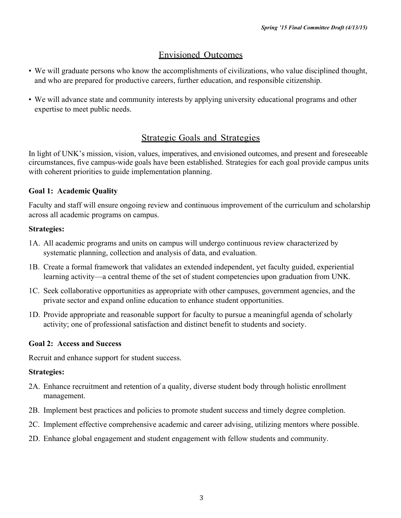# Envisioned Outcomes

- We will graduate persons who know the accomplishments of civilizations, who value disciplined thought, and who are prepared for productive careers, further education, and responsible citizenship.
- We will advance state and community interests by applying university educational programs and other expertise to meet public needs.

# Strategic Goals and Strategies

In light of UNK's mission, vision, values, imperatives, and envisioned outcomes, and present and foreseeable circumstances, five campus-wide goals have been established. Strategies for each goal provide campus units with coherent priorities to guide implementation planning.

### **Goal 1: Academic Quality**

Faculty and staff will ensure ongoing review and continuous improvement of the curriculum and scholarship across all academic programs on campus.

### **Strategies:**

- 1A. All academic programs and units on campus will undergo continuous review characterized by systematic planning, collection and analysis of data, and evaluation.
- 1B. Create a formal framework that validates an extended independent, yet faculty guided, experiential learning activity—a central theme of the set of student competencies upon graduation from UNK.
- 1C. Seek collaborative opportunities as appropriate with other campuses, government agencies, and the private sector and expand online education to enhance student opportunities.
- 1D. Provide appropriate and reasonable support for faculty to pursue a meaningful agenda of scholarly activity; one of professional satisfaction and distinct benefit to students and society.

### **Goal 2: Access and Success**

Recruit and enhance support for student success.

### **Strategies:**

- 2A. Enhance recruitment and retention of a quality, diverse student body through holistic enrollment management.
- 2B. Implement best practices and policies to promote student success and timely degree completion.
- 2C. Implement effective comprehensive academic and career advising, utilizing mentors where possible.
- 2D. Enhance global engagement and student engagement with fellow students and community.